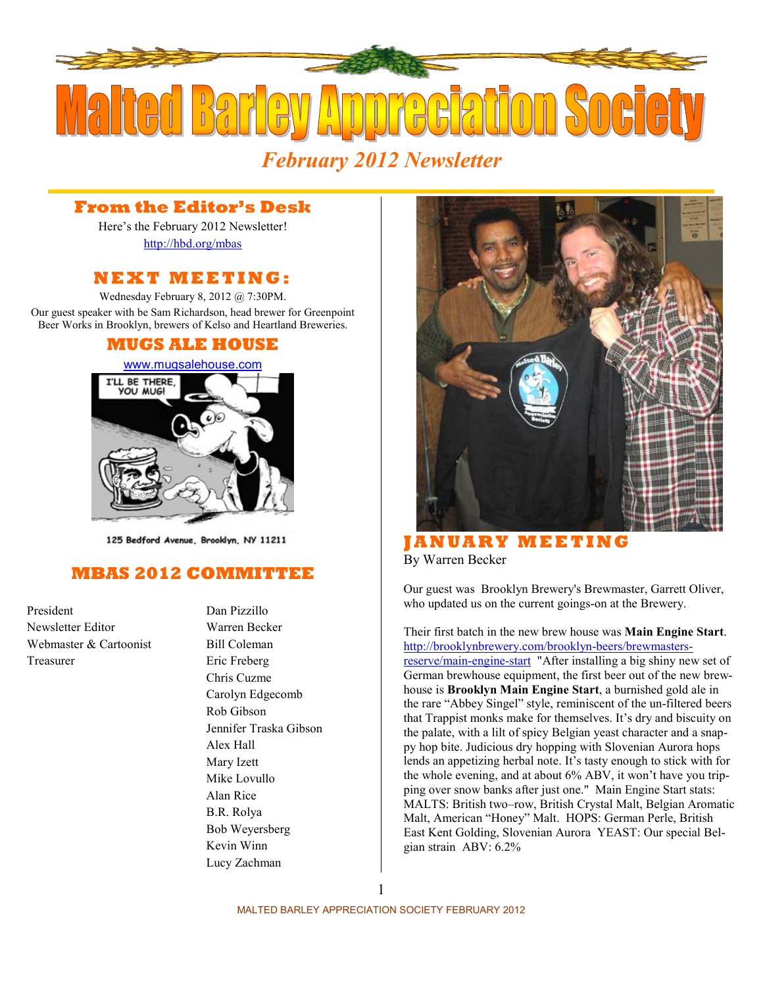

## *February 2012 Newsletter*

## **From the Editor's Desk**

Here's the February 2012 Newsletter! <http://hbd.org/mbas>

### **N E X T M E E T I N G :**

Wednesday February 8, 2012 @ 7:30PM. Our guest speaker with be Sam Richardson, head brewer for Greenpoint Beer Works in Brooklyn, brewers of Kelso and Heartland Breweries.

### **MUGS ALE HOUSE**



125 Bedford Avenue, Brooklyn, NY 11211

## **MBAS 2012 COMMITTEE**

President Dan Pizzillo Newsletter Editor Warren Becker Webmaster & Cartoonist Bill Coleman Treasurer Eric Freberg

Chris Cuzme Carolyn Edgecomb Rob Gibson Jennifer Traska Gibson Alex Hall Mary Izett Mike Lovullo Alan Rice B.R. Rolya Bob Weyersberg Kevin Winn Lucy Zachman



**J A N U A R Y M E E T I N G**  By Warren Becker

Our guest was Brooklyn Brewery's Brewmaster, Garrett Oliver, who updated us on the current goings-on at the Brewery.

Their first batch in the new brew house was **Main Engine Start**. [http://brooklynbrewery.com/brooklyn-beers/brewmaster](http://brooklynbrewery.com/brooklyn-beers/brewmasters-reserve/main-engine-start)s[reserve/main-engine-start](http://brooklynbrewery.com/brooklyn-beers/brewmasters-reserve/main-engine-start) "After installing a big shiny new set of German brewhouse equipment, the first beer out of the new brewhouse is **Brooklyn Main Engine Start**, a burnished gold ale in the rare "Abbey Singel" style, reminiscent of the un-filtered beers that Trappist monks make for themselves. It's dry and biscuity on the palate, with a lilt of spicy Belgian yeast character and a snappy hop bite. Judicious dry hopping with Slovenian Aurora hops lends an appetizing herbal note. It's tasty enough to stick with for the whole evening, and at about 6% ABV, it won't have you tripping over snow banks after just one." Main Engine Start stats: MALTS: British two–row, British Crystal Malt, Belgian Aromatic Malt, American "Honey" Malt. HOPS: German Perle, British East Kent Golding, Slovenian Aurora YEAST: Our special Belgian strain ABV: 6.2%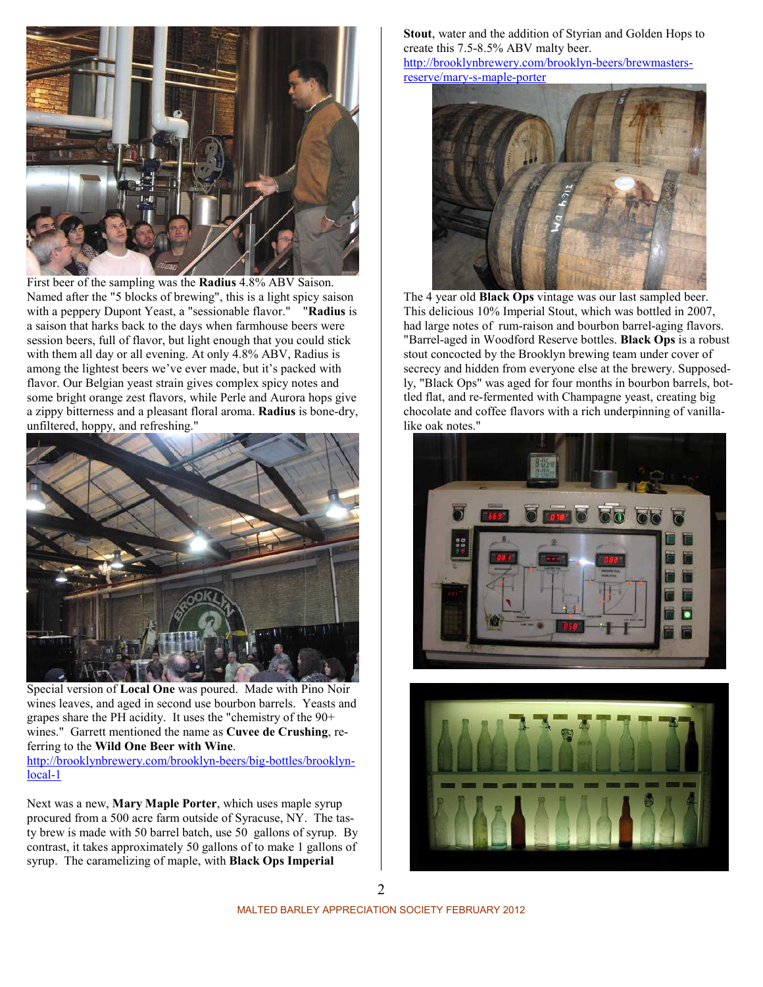

First beer of the sampling was the **Radius** 4.8% ABV Saison. Named after the "5 blocks of brewing", this is a light spicy saison with a peppery Dupont Yeast, a "sessionable flavor." "**Radius** is a saison that harks back to the days when farmhouse beers were session beers, full of flavor, but light enough that you could stick with them all day or all evening. At only 4.8% ABV, Radius is among the lightest beers we've ever made, but it's packed with flavor. Our Belgian yeast strain gives complex spicy notes and some bright orange zest flavors, while Perle and Aurora hops give a zippy bitterness and a pleasant floral aroma. **Radius** is bone-dry, unfiltered, hoppy, and refreshing."



Special version of **Local One** was poured. Made with Pino Noir wines leaves, and aged in second use bourbon barrels. Yeasts and grapes share the PH acidity. It uses the "chemistry of the 90+ wines." Garrett mentioned the name as **Cuvee de Crushing**, referring to the **Wild One Beer with Wine**.

[http://brooklynbrewery.com/brooklyn-beers/big-bottles/brookly](http://brooklynbrewery.com/brooklyn-beers/big-bottles/brooklyn-local-1)n[local-1](http://brooklynbrewery.com/brooklyn-beers/big-bottles/brooklyn-local-1)

Next was a new, **Mary Maple Porter**, which uses maple syrup procured from a 500 acre farm outside of Syracuse, NY. The tasty brew is made with 50 barrel batch, use 50 gallons of syrup. By contrast, it takes approximately 50 gallons of to make 1 gallons of syrup. The caramelizing of maple, with **Black Ops Imperial** 

**Stout**, water and the addition of Styrian and Golden Hops to create this 7.5-8.5% ABV malty beer.

[http://brooklynbrewery.com/brooklyn-beers/brewmaster](http://brooklynbrewery.com/brooklyn-beers/brewmasters-reserve/mary-s-maple-porter)s[reserve/mary-s-maple-porter](http://brooklynbrewery.com/brooklyn-beers/brewmasters-reserve/mary-s-maple-porter)



The 4 year old **Black Ops** vintage was our last sampled beer. This delicious 10% Imperial Stout, which was bottled in 2007, had large notes of rum-raison and bourbon barrel-aging flavors. "Barrel-aged in Woodford Reserve bottles. **Black Ops** is a robust stout concocted by the Brooklyn brewing team under cover of secrecy and hidden from everyone else at the brewery. Supposedly, "Black Ops" was aged for four months in bourbon barrels, bottled flat, and re-fermented with Champagne yeast, creating big chocolate and coffee flavors with a rich underpinning of vanillalike oak notes."



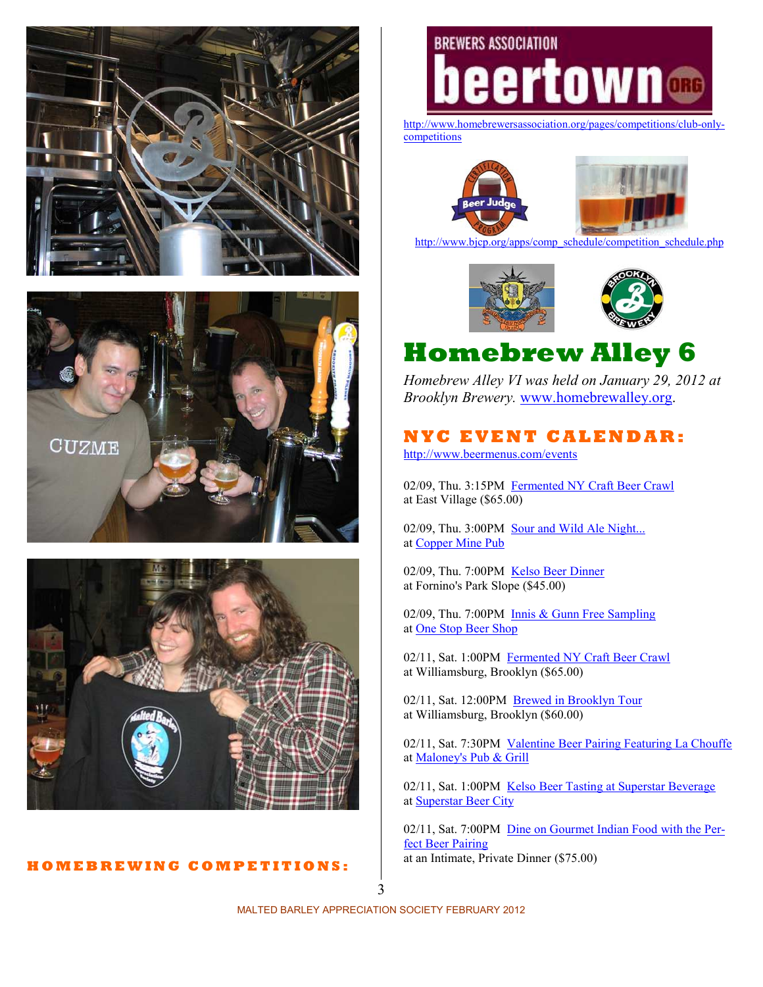





#### **H O M E B R E W I N G C O M P E T I T I O N S :**

# **BREWERS ASSOCIATION** eertown **ORG**

[http://www.homebrewersassociation.org/pages/competitions/club-only](http://www.homebrewersassociation.org/pages/competitions/club-only-competitions)[competitions](http://www.homebrewersassociation.org/pages/competitions/club-only-competitions)



[http://www.bjcp.org/apps/comp\\_schedule/competition\\_schedule.php](http://www.bjcp.org/apps/comp_schedule/competition_schedule.php)



# **Homebrew Alley 6**

*Homebrew Alley VI was held on January 29, 2012 at Brooklyn Brewery.* [www.homebrewalley.org](http://www.homebrewalley.org/).

## **N Y C E V E N T C A L E N D A R :**

<http://www.beermenus.com/events>

02/09, Thu. 3:15PM [Fermented NY Craft Beer Crawl](http://www.beermenus.com/events/7483-fermented-ny-craft-beer-crawl) at East Village (\$65.00)

02/09, Thu. 3:00PM [Sour and Wild Ale Night...](http://www.beermenus.com/events/7532-sour-and-wild-ale-night) at [Copper Mine Pub](http://www.beermenus.com/places/762-copper-mine-pub)

02/09, Thu. 7:00PM [Kelso Beer Dinner](http://www.beermenus.com/events/7556-kelso-beer-dinner)  at Fornino's Park Slope (\$45.00)

02/09, Thu. 7:00PM [Innis & Gunn Free Sampling](http://www.beermenus.com/events/7714-innis-gunn-free-sampling) at [One Stop Beer Shop](http://www.beermenus.com/places/3165-one-stop-beer-shop)

02/11, Sat. 1:00PM [Fermented NY Craft Beer Crawl](http://www.beermenus.com/events/7471-fermented-ny-craft-beer-crawl) at Williamsburg, Brooklyn (\$65.00)

02/11, Sat. 12:00PM [Brewed in Brooklyn Tour](http://www.beermenus.com/events/7461-brewed-in-brooklyn-tour) at Williamsburg, Brooklyn (\$60.00)

02/11, Sat. 7:30PM [Valentine Beer Pairing Featuring La Chouffe](http://www.beermenus.com/events/7587-valentine-beer-pairing-featuring-la-chouffe) at [Maloney's Pub & Grill](http://www.beermenus.com/places/1798-maloney-s-pub-grill)

02/11, Sat. 1:00PM [Kelso Beer Tasting at Superstar Beverage](http://www.beermenus.com/events/7687-kelso-beer-tasting-at-superstar-beverage) at [Superstar Beer City](http://www.beermenus.com/places/2102-superstar-beer-city)

02/11, Sat. 7:00PM [Dine on Gourmet Indian Food with the Pe](http://www.beermenus.com/events/7702-dine-on-gourmet-indian-food-with-the-perfect-beer-pairing)r[fect Beer Pairing](http://www.beermenus.com/events/7702-dine-on-gourmet-indian-food-with-the-perfect-beer-pairing) at an Intimate, Private Dinner (\$75.00)

3

MALTED BARLEY APPRECIATION SOCIETY FEBRUARY 2012